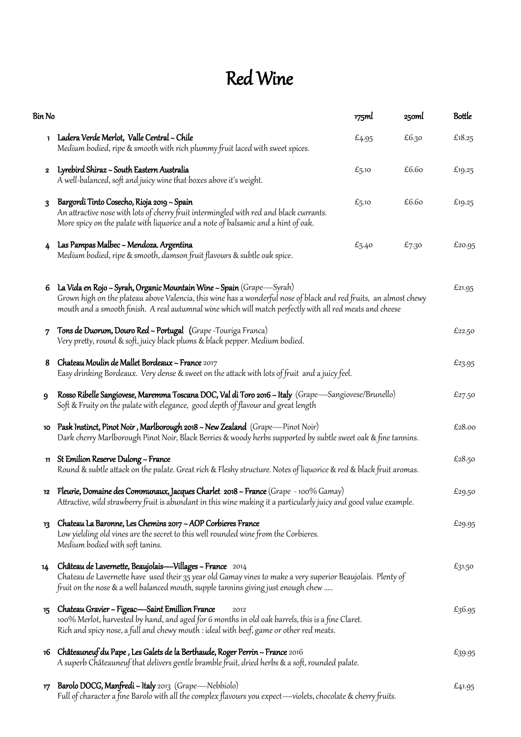## Red Wine

| Bin No       |                                                                                                                                                                                                                                                                                                       | 175ml | 25oml | <b>Bottle</b> |
|--------------|-------------------------------------------------------------------------------------------------------------------------------------------------------------------------------------------------------------------------------------------------------------------------------------------------------|-------|-------|---------------|
|              | 1 Ladera Verde Merlot, Valle Central ~ Chile<br>Medium bodied, ripe & smooth with rich plummy fruit laced with sweet spices.                                                                                                                                                                          | £4.95 | £6.30 | £18.25        |
| $\mathbf{2}$ | Lyrebird Shiraz ~ South Eastern Australia<br>A well-balanced, soft and juicy wine that boxes above it's weight.                                                                                                                                                                                       | £5.10 | £6.60 | £19.25        |
| 3            | Bargordi Tinto Cosecho, Rioja 2019 ~ Spain<br>An attractive nose with lots of cherry fruit intermingled with red and black currants.<br>More spicy on the palate with liquorice and a note of balsamic and a hint of oak.                                                                             | £5.10 | £6.60 | £19.25        |
| 4            | Las Pampas Malbec ~ Mendoza. Argentina<br>Medium bodied, ripe & smooth, damson fruit flavours & subtle oak spice.                                                                                                                                                                                     | £5.40 | £7.30 | £20.95        |
| 6            | La Vida en Rojo ~ Syrah, Organic Mountain Wine ~ Spain (Grape—Syrah)<br>Grown high on the plateau above Valencia, this wine has a wonderful nose of black and red fruits, an almost chewy<br>mouth and a smooth finish. A real autumnal wine which will match perfectly with all red meats and cheese |       |       | £21.95        |
| 7            | Tons de Duorum, Douro Red ~ Portugal (Grape - Touriga Franca)<br>Very pretty, round & soft, juicy black plums & black pepper. Medium bodied.                                                                                                                                                          |       |       | £22.50        |
| 8            | Chateau Moulin de Mallet Bordeaux ~ France 2017<br>Easy drinking Bordeaux. Very dense & sweet on the attack with lots of fruit and a juicy feel.                                                                                                                                                      |       |       |               |
| 9            | Rosso Ribelle Sangiovese, Maremma Toscana DOC, Val di Toro 2016 ~ Italy (Grape—Sangiovese/Brunello)<br>Soft & Fruity on the palate with elegance, good depth of flavour and great length                                                                                                              |       |       |               |
| 10           | Pask Instinct, Pinot Noir, Marlborough 2018 ~ New Zealand (Grape—Pinot Noir)<br>Dark cherry Marlborough Pinot Noir, Black Berries & woody herbs supported by subtle sweet oak & fine tannins.                                                                                                         |       |       | £28.00        |
| 11           | St Emilion Reserve Dulong ~ France<br>Round & subtle attack on the palate. Great rich & Fleshy structure. Notes of liquorice & red & black fruit aromas.                                                                                                                                              |       |       |               |
|              | 12 Fleurie, Domaine des Communaux, Jacques Charlet 2018 ~ France (Grape - 100% Gamay)<br>Attractive, wild strawberry fruit is abundant in this wine making it a particularly juicy and good value example.                                                                                            |       |       |               |
| 13           | Chateau La Baronne, Les Chemins 2017 ~ AOP Corbieres France<br>Low yielding old vines are the secret to this well rounded wine from the Corbieres.<br>Medium bodied with soft tanins.                                                                                                                 |       |       |               |
| 14           | Château de Lavernette, Beaujolais-Villages ~ France 2014<br>Chateau de Lavernette have used their 35 year old Gamay vines to make a very superior Beaujolais. Plenty of<br>fruit on the nose & a well balanced mouth, supple tannins giving just enough chew …                                        |       |       | £31.50        |
| 15           | Chateau Gravier ~ Figeac—Saint Emillion France<br>2012<br>100% Merlot, harvested by hand, and aged for 6 months in old oak barrels, this is a fine Claret.<br>Rich and spicy nose, a full and chewy mouth : ideal with beef, game or other red meats.                                                 |       |       |               |
| 16           | Châteauneuf du Pape, Les Galets de la Berthaude, Roger Perrin ~ France 2016<br>A superb Châteauneuf that delivers gentle bramble fruit, dried herbs & a soft, rounded palate.                                                                                                                         |       |       | £39.95        |
| 17           | Barolo DOCG, Manfredi ~ Italy 2013 (Grape—Nebbiolo)<br>Full of character a fine Barolo with all the complex flavours you expect—violets, chocolate & cherry fruits.                                                                                                                                   |       |       | £41.95        |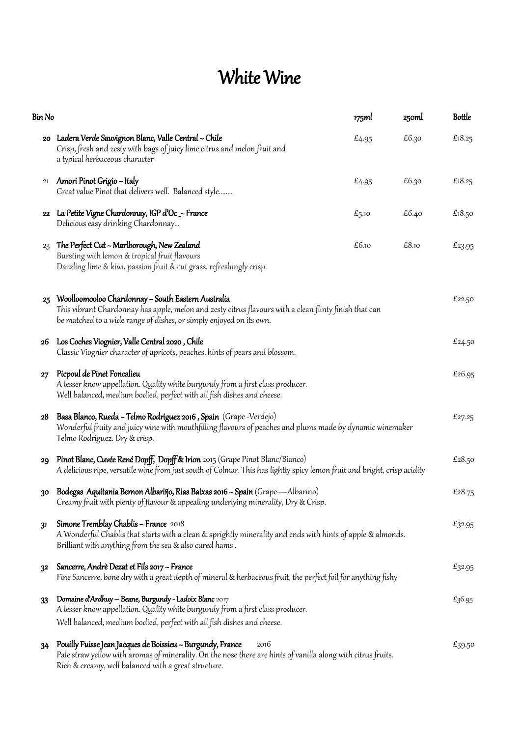## White Wine

| Bin No |                                                                                                                                                                                                                                             | 175ml | 250ml | <b>Bottle</b> |
|--------|---------------------------------------------------------------------------------------------------------------------------------------------------------------------------------------------------------------------------------------------|-------|-------|---------------|
|        | 20 Ladera Verde Sauvignon Blanc, Valle Central ~ Chile<br>Crisp, fresh and zesty with bags of juicy lime citrus and melon fruit and<br>a typical herbaceous character                                                                       | £4.95 | £6.30 | £18.25        |
| 21     | Amori Pinot Grigio ~ Italy<br>Great value Pinot that delivers well. Balanced style                                                                                                                                                          | £4.95 | £6.30 | £ $18.25$     |
|        | 22 La Petite Vigne Chardonnay, IGP d'Oc _~ France<br>Delicious easy drinking Chardonnay                                                                                                                                                     | £5.10 | £6.40 | £18.50        |
| 23     | The Perfect Cut ~ Marlborough, New Zealand<br>Bursting with lemon & tropical fruit flavours<br>Dazzling lime & kiwi, passion fruit & cut grass, refreshingly crisp.                                                                         | £6.10 | £8.10 | £23.95        |
| 25     | Woolloomooloo Chardonnay ~ South Eastern Australia<br>This vibrant Chardonnay has apple, melon and zesty citrus flavours with a clean flinty finish that can<br>be matched to a wide range of dishes, or simply enjoyed on its own.         |       |       | £22.50        |
| 26     | Los Coches Viognier, Valle Central 2020 , Chile<br>Classic Viognier character of apricots, peaches, hints of pears and blossom.                                                                                                             |       |       | £24.50        |
| 27     | Picpoul de Pinet Foncalieu<br>A lesser know appellation. Quality white burgundy from a first class producer.<br>Well balanced, medium bodied, perfect with all fish dishes and cheese.                                                      |       |       | £26.95        |
| 28     | Basa Blanco, Rueda ~ Telmo Rodriguez 2016, Spain (Grape -Verdejo)<br>Wonderful fruity and juicy wine with mouthfilling flavours of peaches and plums made by dynamic winemaker<br>Telmo Rodriguez. Dry & crisp.                             |       |       |               |
| 29     | Pinot Blanc, Cuvée René Dopff, Dopff & Irion 2015 (Grape Pinot Blanc/Bianco)<br>A delicious ripe, versatile wine from just south of Colmar. This has lightly spicy lemon fruit and bright, crisp acidity                                    |       |       | £28.50        |
| 30     | Bodegas Aquitania Bernon Albariño, Rias Baixas 2016 ~ Spain (Grape—Albarino)<br>Creamy fruit with plenty of flavour & appealing underlying minerality, Dry & Crisp.                                                                         |       |       | £28.75        |
| 31     | Simone Tremblay Chablis ~ France 2018<br>A Wonderful Chablis that starts with a clean & sprightly minerality and ends with hints of apple & almonds.<br>Brilliant with anything from the sea & also cured hams.                             |       |       | £32.95        |
| 32     | Sancerre, Andrè Dezat et Fils 2017 ~ France<br>Fine Sancerre, bone dry with a great depth of mineral & herbaceous fruit, the perfect foil for anything fishy                                                                                |       |       | £32.95        |
| 33     | Domaine d'Ardhuy - Beane, Burgundy - Ladoix Blanc 2017<br>A lesser know appellation. Quality white burgundy from a first class producer.<br>Well balanced, medium bodied, perfect with all fish dishes and cheese.                          |       |       | £36.95        |
| 34     | Pouilly Fuisse Jean Jacques de Boissieu ~ Burgundy, France<br>2016<br>Pale straw yellow with aromas of minerality. On the nose there are hints of vanilla along with citrus fruits.<br>Rich & creamy, well balanced with a great structure. |       |       | £39.50        |